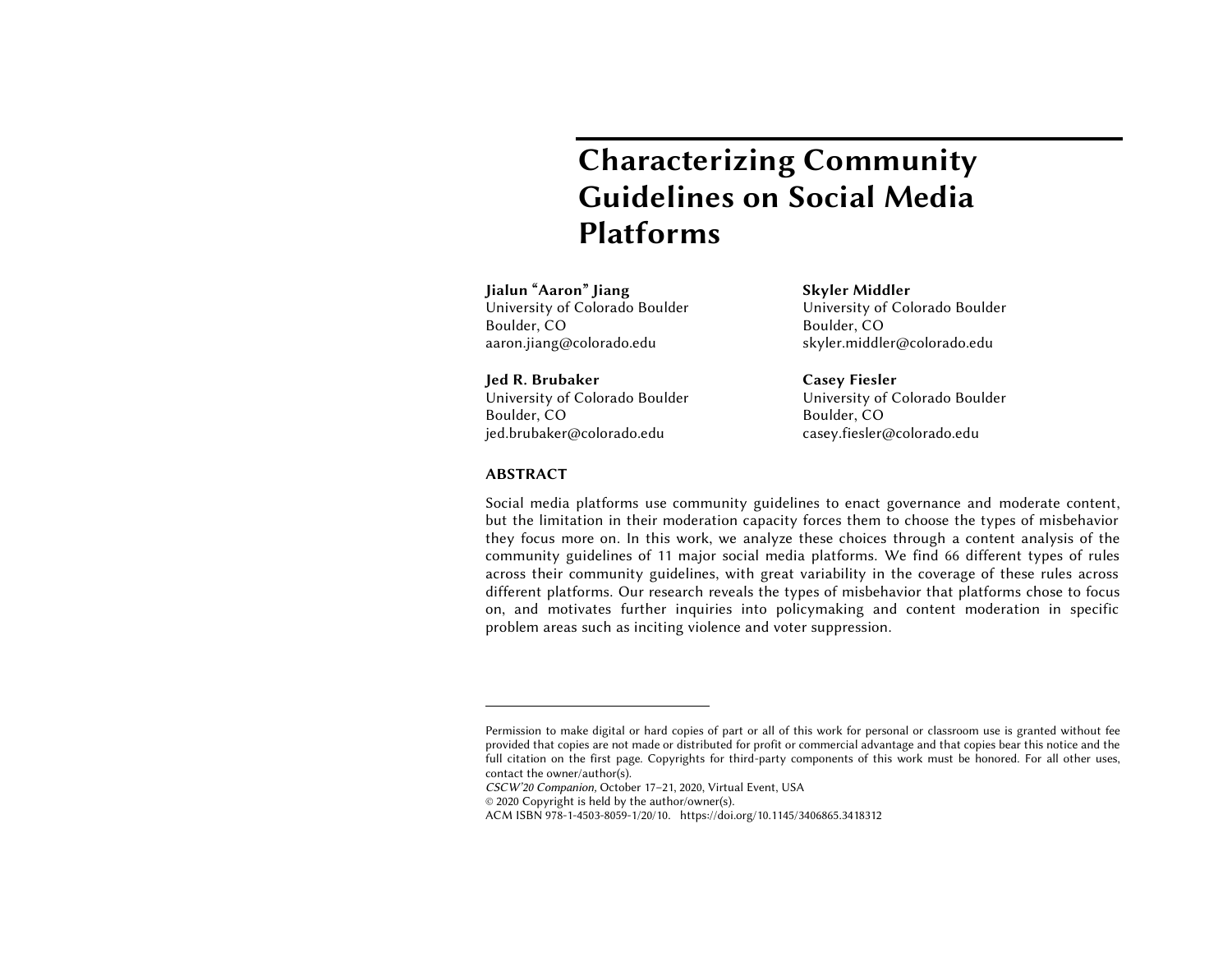# **Characterizing Community Guidelines on Social Media Platforms**

## **Jialun "Aaron" Jiang**

University of Colorado Boulder Boulder, CO aaron.jiang@colorado.edu

**Jed R. Brubaker** University of Colorado Boulder Boulder, CO jed.brubaker@colorado.edu

**Skyler Middler** University of Colorado Boulder Boulder, CO skyler.middler@colorado.edu

**Casey Fiesler** University of Colorado Boulder Boulder, CO casey.fiesler@colorado.edu

## **ABSTRACT<sup>1</sup>**

 $\overline{a}$ 

Social media platforms use community guidelines to enact governance and moderate content, but the limitation in their moderation capacity forces them to choose the types of misbehavior they focus more on. In this work, we analyze these choices through a content analysis of the community guidelines of 11 major social media platforms. We find 66 different types of rules across their community guidelines, with great variability in the coverage of these rules across different platforms. Our research reveals the types of misbehavior that platforms chose to focus on, and motivates further inquiries into policymaking and content moderation in specific problem areas such as inciting violence and voter suppression.

*CSCW'20 Companion,* October 17–21, 2020, Virtual Event, USA

© 2020 Copyright is held by the author/owner(s).

ACM ISBN 978-1-4503-8059-1/20/10. https://doi.org/10.1145/3406865.3418312

Permission to make digital or hard copies of part or all of this work for personal or classroom use is granted without fee provided that copies are not made or distributed for profit or commercial advantage and that copies bear this notice and the full citation on the first page. Copyrights for third-party components of this work must be honored. For all other uses, contact the owner/author(s).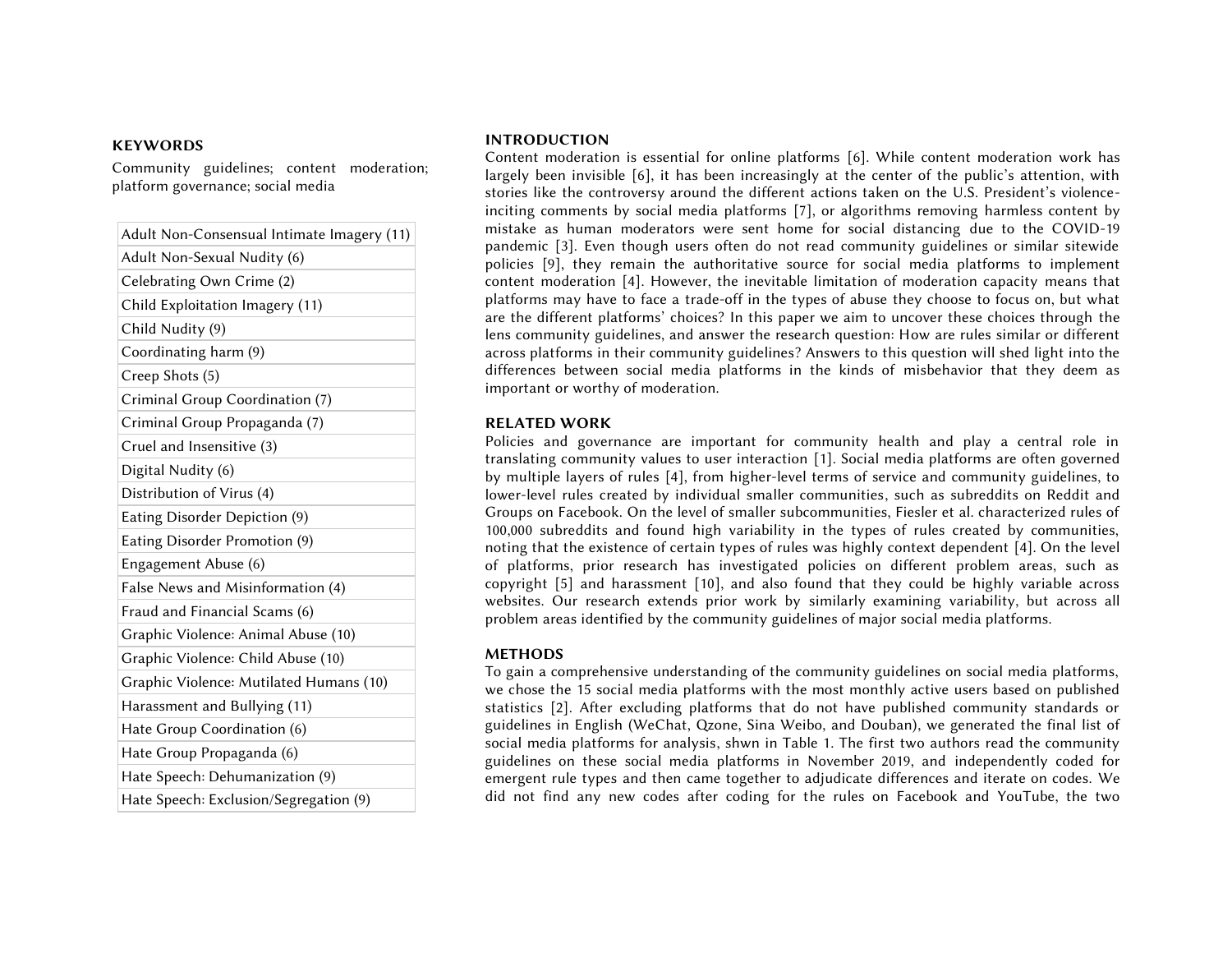## **KEYWORDS**

Community guidelines; content moderation; platform governance; social media

| Adult Non-Consensual Intimate Imagery (11) |
|--------------------------------------------|
| Adult Non-Sexual Nudity (6)                |
| Celebrating Own Crime (2)                  |
| Child Exploitation Imagery (11)            |
| Child Nudity (9)                           |
| Coordinating harm (9)                      |
| Creep Shots (5)                            |
| Criminal Group Coordination (7)            |
| Criminal Group Propaganda (7)              |
| Cruel and Insensitive (3)                  |
| Digital Nudity (6)                         |
| Distribution of Virus (4)                  |
| Eating Disorder Depiction (9)              |
| Eating Disorder Promotion (9)              |
| Engagement Abuse (6)                       |
| False News and Misinformation (4)          |
| Fraud and Financial Scams (6)              |
| Graphic Violence: Animal Abuse (10)        |
| Graphic Violence: Child Abuse (10)         |
| Graphic Violence: Mutilated Humans (10)    |
| Harassment and Bullying (11)               |
| Hate Group Coordination (6)                |
| Hate Group Propaganda (6)                  |
| Hate Speech: Dehumanization (9)            |
| Hate Speech: Exclusion/Segregation (9)     |

#### **INTRODUCTION**

Content moderation is essential for online platforms [6]. While content moderation work has largely been invisible [6], it has been increasingly at the center of the public's attention, with stories like the controversy around the different actions taken on the U.S. President's violenceinciting comments by social media platforms [7], or algorithms removing harmless content by mistake as human moderators were sent home for social distancing due to the COVID-19 pandemic [3]. Even though users often do not read community guidelines or similar sitewide policies [9], they remain the authoritative source for social media platforms to implement content moderation [4]. However, the inevitable limitation of moderation capacity means that platforms may have to face a trade-off in the types of abuse they choose to focus on, but what are the different platforms' choices? In this paper we aim to uncover these choices through the lens community guidelines, and answer the research question: How are rules similar or different across platforms in their community guidelines? Answers to this question will shed light into the differences between social media platforms in the kinds of misbehavior that they deem as important or worthy of moderation.

## **RELATED WORK**

Policies and governance are important for community health and play a central role in translating community values to user interaction [1]. Social media platforms are often governed by multiple layers of rules [4], from higher-level terms of service and community guidelines, to lower-level rules created by individual smaller communities, such as subreddits on Reddit and Groups on Facebook. On the level of smaller subcommunities, Fiesler et al. characterized rules of 100,000 subreddits and found high variability in the types of rules created by communities, noting that the existence of certain types of rules was highly context dependent [4]. On the level of platforms, prior research has investigated policies on different problem areas, such as copyright [5] and harassment [10], and also found that they could be highly variable across websites. Our research extends prior work by similarly examining variability, but across all problem areas identified by the community guidelines of major social media platforms.

### **METHODS**

To gain a comprehensive understanding of the community guidelines on social media platforms, we chose the 15 social media platforms with the most monthly active users based on published statistics [2]. After excluding platforms that do not have published community standards or guidelines in English (WeChat, Qzone, Sina Weibo, and Douban), we generated the final list of social media platforms for analysis, shwn in Table 1. The first two authors read the community guidelines on these social media platforms in November 2019, and independently coded for emergent rule types and then came together to adjudicate differences and iterate on codes. We did not find any new codes after coding for the rules on Facebook and YouTube, the two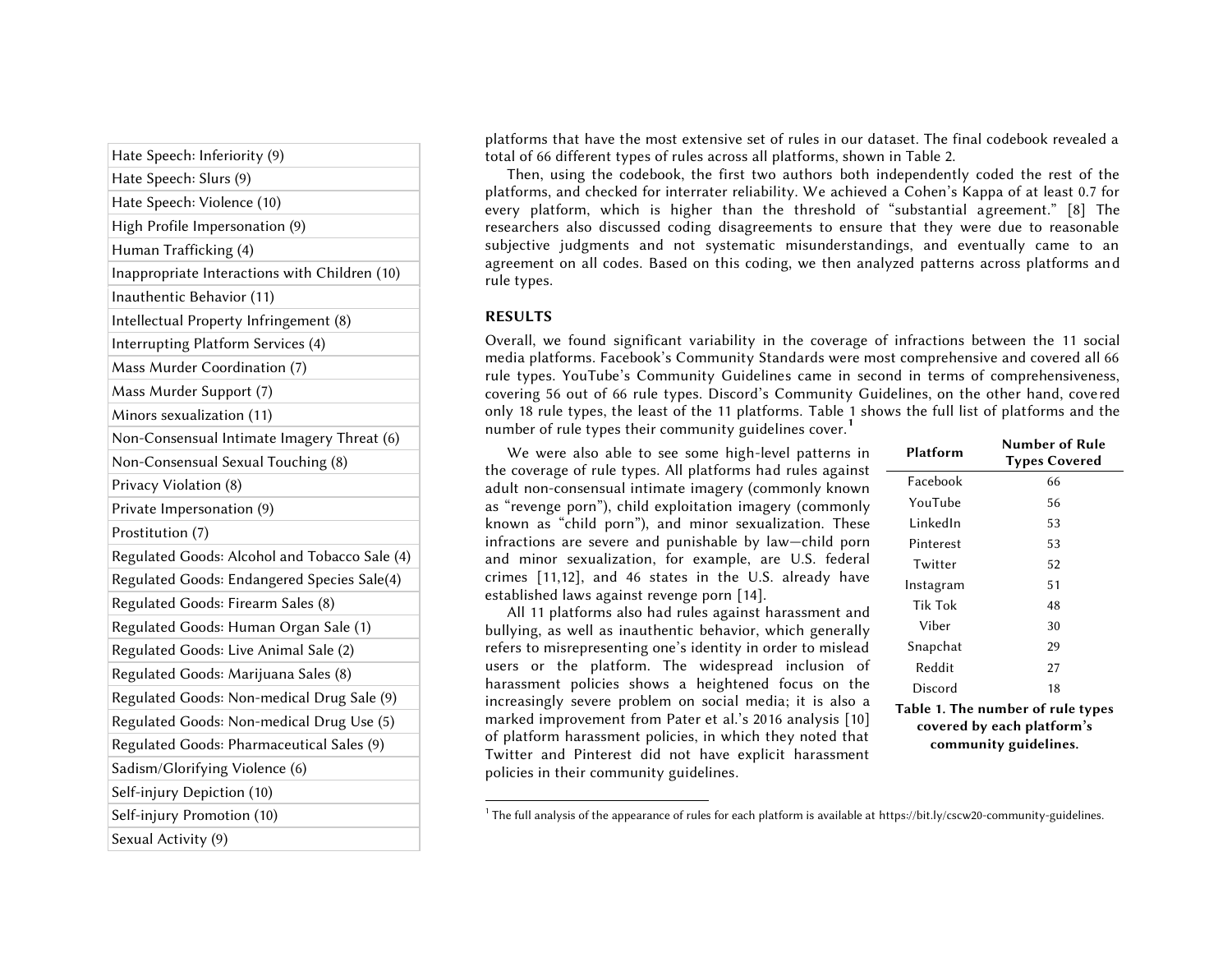Hate Speech: Inferiority (9) Hate Speech: Slurs (9) Hate Speech: Violence (10) High Profile Impersonation (9) Human Trafficking (4) Inappropriate Interactions with Children (10) Inauthentic Behavior (11) Intellectual Property Infringement (8) Interrupting Platform Services (4) Mass Murder Coordination (7) Mass Murder Support (7) Minors sexualization (11) Non-Consensual Intimate Imagery Threat (6) Non-Consensual Sexual Touching (8) Privacy Violation (8) Private Impersonation (9) Prostitution (7) Regulated Goods: Alcohol and Tobacco Sale (4) Regulated Goods: Endangered Species Sale(4) Regulated Goods: Firearm Sales (8) Regulated Goods: Human Organ Sale (1) Regulated Goods: Live Animal Sale (2) Regulated Goods: Marijuana Sales (8) Regulated Goods: Non-medical Drug Sale (9) Regulated Goods: Non-medical Drug Use (5) Regulated Goods: Pharmaceutical Sales (9) Sadism/Glorifying Violence (6) Self-injury Depiction (10) Self-injury Promotion (10) Sexual Activity (9)

platforms that have the most extensive set of rules in our dataset. The final codebook revealed a total of 66 different types of rules across all platforms, shown in Table 2.

Then, using the codebook, the first two authors both independently coded the rest of the platforms, and checked for interrater reliability. We achieved a Cohen's Kappa of at least 0.7 for every platform, which is higher than the threshold of "substantial agreement." [8] The researchers also discussed coding disagreements to ensure that they were due to reasonable subjective judgments and not systematic misunderstandings, and eventually came to an agreement on all codes. Based on this coding, we then analyzed patterns across platforms and rule types.

## **RESULTS**

 $\overline{a}$ 

Overall, we found significant variability in the coverage of infractions between the 11 social media platforms. Facebook's Community Standards were most comprehensive and covered all 66 rule types. YouTube's Community Guidelines came in second in terms of comprehensiveness, covering 56 out of 66 rule types. Discord's Community Guidelines, on the other hand, covered only 18 rule types, the least of the 11 platforms. Table 1 shows the full list of platforms and the number of rule types their community guidelines cover.**<sup>1</sup>**

We were also able to see some high-level patterns in the coverage of rule types. All platforms had rules against adult non-consensual intimate imagery (commonly known as "revenge porn"), child exploitation imagery (commonly known as "child porn"), and minor sexualization. These infractions are severe and punishable by law—child porn and minor sexualization, for example, are U.S. federal crimes [11,12], and 46 states in the U.S. already have established laws against revenge porn [14].

All 11 platforms also had rules against harassment and bullying, as well as inauthentic behavior, which generally refers to misrepresenting one's identity in order to mislead users or the platform. The widespread inclusion of harassment policies shows a heightened focus on the increasingly severe problem on social media; it is also a marked improvement from Pater et al.'s 2016 analysis [10] of platform harassment policies, in which they noted that Twitter and Pinterest did not have explicit harassment policies in their community guidelines.

| Platform                          | Number of Rule<br><b>Types Covered</b> |  |
|-----------------------------------|----------------------------------------|--|
| Facebook                          | 66                                     |  |
| YouTube                           | 56                                     |  |
| I inkedIn                         | 53                                     |  |
| Pinterest                         | 53                                     |  |
| Twitter                           | 52                                     |  |
| Instagram                         | 51                                     |  |
| Tik Tok                           | 48                                     |  |
| Viher                             | 30                                     |  |
| Snapchat                          | 29                                     |  |
| Reddit                            | 27                                     |  |
| Discord                           | 18                                     |  |
| Table 1. The number of rule types |                                        |  |
| covered by each platform's        |                                        |  |

**community guidelines.**

<sup>&</sup>lt;sup>1</sup> The full analysis of the appearance of rules for each platform is available at https://bit.ly/cscw20-community-guidelines.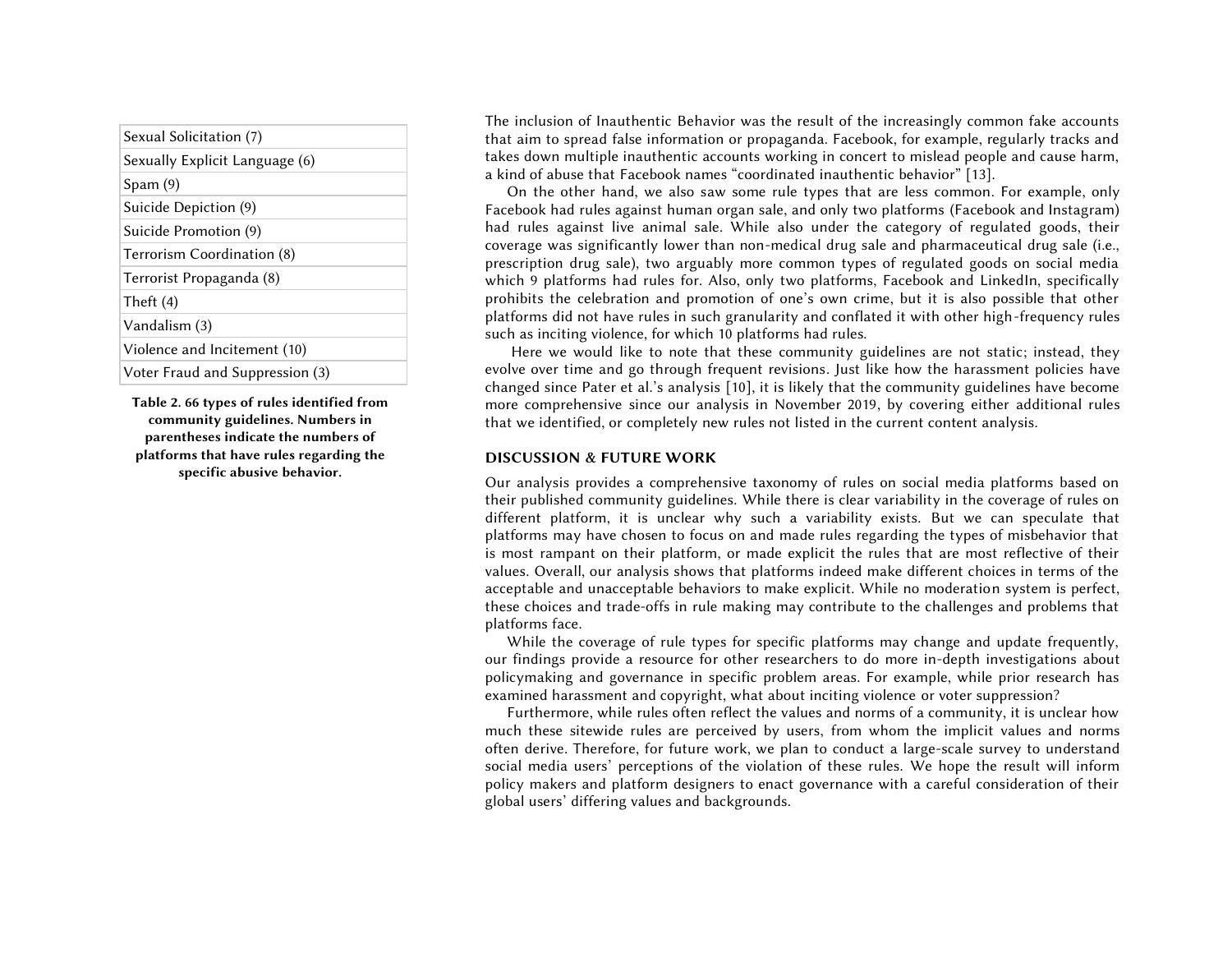| Sexual Solicitation (7)         |  |
|---------------------------------|--|
| Sexually Explicit Language (6)  |  |
| Span(9)                         |  |
| Suicide Depiction (9)           |  |
| Suicide Promotion (9)           |  |
| Terrorism Coordination (8)      |  |
| Terrorist Propaganda (8)        |  |
| Theft $(4)$                     |  |
| Vandalism (3)                   |  |
| Violence and Incitement (10)    |  |
| Voter Fraud and Suppression (3) |  |
|                                 |  |

**Table 2. 66 types of rules identified from community guidelines. Numbers in parentheses indicate the numbers of platforms that have rules regarding the specific abusive behavior.**

The inclusion of Inauthentic Behavior was the result of the increasingly common fake accounts that aim to spread false information or propaganda. Facebook, for example, regularly tracks and takes down multiple inauthentic accounts working in concert to mislead people and cause harm, a kind of abuse that Facebook names "coordinated inauthentic behavior" [13].

On the other hand, we also saw some rule types that are less common. For example, only Facebook had rules against human organ sale, and only two platforms (Facebook and Instagram) had rules against live animal sale. While also under the category of regulated goods, their coverage was significantly lower than non-medical drug sale and pharmaceutical drug sale (i.e., prescription drug sale), two arguably more common types of regulated goods on social media which 9 platforms had rules for. Also, only two platforms, Facebook and LinkedIn, specifically prohibits the celebration and promotion of one's own crime, but it is also possible that other platforms did not have rules in such granularity and conflated it with other high-frequency rules such as inciting violence, for which 10 platforms had rules.

Here we would like to note that these community guidelines are not static; instead, they evolve over time and go through frequent revisions. Just like how the harassment policies have changed since Pater et al.'s analysis [10], it is likely that the community guidelines have become more comprehensive since our analysis in November 2019, by covering either additional rules that we identified, or completely new rules not listed in the current content analysis.

## **DISCUSSION & FUTURE WORK**

Our analysis provides a comprehensive taxonomy of rules on social media platforms based on their published community guidelines. While there is clear variability in the coverage of rules on different platform, it is unclear why such a variability exists. But we can speculate that platforms may have chosen to focus on and made rules regarding the types of misbehavior that is most rampant on their platform, or made explicit the rules that are most reflective of their values. Overall, our analysis shows that platforms indeed make different choices in terms of the acceptable and unacceptable behaviors to make explicit. While no moderation system is perfect, these choices and trade-offs in rule making may contribute to the challenges and problems that platforms face.

While the coverage of rule types for specific platforms may change and update frequently, our findings provide a resource for other researchers to do more in-depth investigations about policymaking and governance in specific problem areas. For example, while prior research has examined harassment and copyright, what about inciting violence or voter suppression?

Furthermore, while rules often reflect the values and norms of a community, it is unclear how much these sitewide rules are perceived by users, from whom the implicit values and norms often derive. Therefore, for future work, we plan to conduct a large-scale survey to understand social media users' perceptions of the violation of these rules. We hope the result will inform policy makers and platform designers to enact governance with a careful consideration of their global users' differing values and backgrounds.